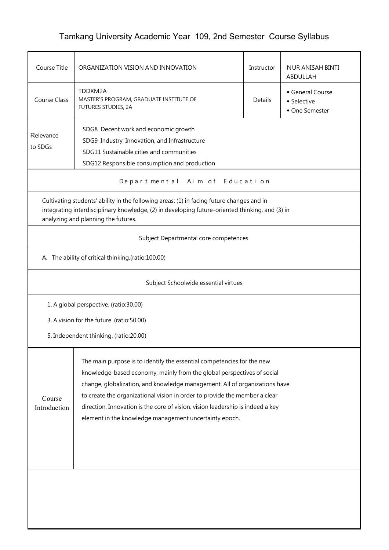## Tamkang University Academic Year 109, 2nd Semester Course Syllabus

| Course Title                                                                                                                                                                                                                                                                                                                                                                                                                                                                       | ORGANIZATION VISION AND INNOVATION                                                                                                             |  | NUR ANISAH BINTI<br>ABDULLAH |  |  |  |  |
|------------------------------------------------------------------------------------------------------------------------------------------------------------------------------------------------------------------------------------------------------------------------------------------------------------------------------------------------------------------------------------------------------------------------------------------------------------------------------------|------------------------------------------------------------------------------------------------------------------------------------------------|--|------------------------------|--|--|--|--|
| <b>Course Class</b>                                                                                                                                                                                                                                                                                                                                                                                                                                                                | TDDXM2A<br>General Course<br>MASTER'S PROGRAM, GRADUATE INSTITUTE OF<br><b>Details</b><br>• Selective<br>FUTURES STUDIES, 2A<br>• One Semester |  |                              |  |  |  |  |
| SDG8 Decent work and economic growth<br>Relevance<br>SDG9 Industry, Innovation, and Infrastructure<br>to SDGs<br>SDG11 Sustainable cities and communities<br>SDG12 Responsible consumption and production                                                                                                                                                                                                                                                                          |                                                                                                                                                |  |                              |  |  |  |  |
|                                                                                                                                                                                                                                                                                                                                                                                                                                                                                    | Departmental Aim of Education                                                                                                                  |  |                              |  |  |  |  |
| Cultivating students' ability in the following areas: (1) in facing future changes and in<br>integrating interdisciplinary knowledge, (2) in developing future-oriented thinking, and (3) in<br>analyzing and planning the futures.                                                                                                                                                                                                                                                |                                                                                                                                                |  |                              |  |  |  |  |
|                                                                                                                                                                                                                                                                                                                                                                                                                                                                                    | Subject Departmental core competences                                                                                                          |  |                              |  |  |  |  |
|                                                                                                                                                                                                                                                                                                                                                                                                                                                                                    | A. The ability of critical thinking.(ratio:100.00)                                                                                             |  |                              |  |  |  |  |
|                                                                                                                                                                                                                                                                                                                                                                                                                                                                                    | Subject Schoolwide essential virtues                                                                                                           |  |                              |  |  |  |  |
|                                                                                                                                                                                                                                                                                                                                                                                                                                                                                    | 1. A global perspective. (ratio:30.00)                                                                                                         |  |                              |  |  |  |  |
|                                                                                                                                                                                                                                                                                                                                                                                                                                                                                    | 3. A vision for the future. (ratio:50.00)                                                                                                      |  |                              |  |  |  |  |
|                                                                                                                                                                                                                                                                                                                                                                                                                                                                                    | 5. Independent thinking. (ratio:20.00)                                                                                                         |  |                              |  |  |  |  |
| The main purpose is to identify the essential competencies for the new<br>knowledge-based economy, mainly from the global perspectives of social<br>change, globalization, and knowledge management. All of organizations have<br>to create the organizational vision in order to provide the member a clear<br>Course<br>direction. Innovation is the core of vision. vision leadership is indeed a key<br>Introduction<br>element in the knowledge management uncertainty epoch. |                                                                                                                                                |  |                              |  |  |  |  |
|                                                                                                                                                                                                                                                                                                                                                                                                                                                                                    |                                                                                                                                                |  |                              |  |  |  |  |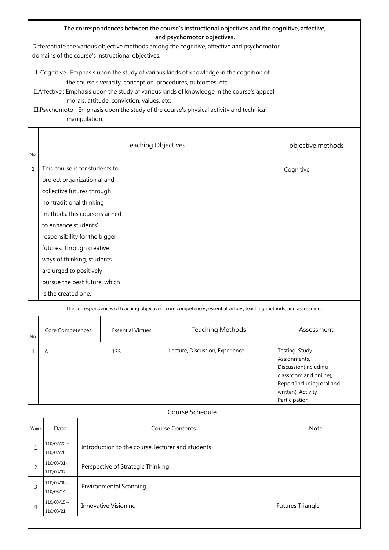| The correspondences between the course's instructional objectives and the cognitive, affective,<br>and psychomotor objectives.<br>Differentiate the various objective methods among the cognitive, affective and psychomotor<br>domains of the course's instructional objectives.                                                                                                                                    |                                                                                                                                                                                                                                                                                                                                                                |                                                   |                                                                                                                                 |                                 |                                                                                                                                                      |
|----------------------------------------------------------------------------------------------------------------------------------------------------------------------------------------------------------------------------------------------------------------------------------------------------------------------------------------------------------------------------------------------------------------------|----------------------------------------------------------------------------------------------------------------------------------------------------------------------------------------------------------------------------------------------------------------------------------------------------------------------------------------------------------------|---------------------------------------------------|---------------------------------------------------------------------------------------------------------------------------------|---------------------------------|------------------------------------------------------------------------------------------------------------------------------------------------------|
| I. Cognitive: Emphasis upon the study of various kinds of knowledge in the cognition of<br>the course's veracity, conception, procedures, outcomes, etc.<br>II. Affective: Emphasis upon the study of various kinds of knowledge in the course's appeal,<br>morals, attitude, conviction, values, etc.<br>III. Psychomotor: Emphasis upon the study of the course's physical activity and technical<br>manipulation. |                                                                                                                                                                                                                                                                                                                                                                |                                                   |                                                                                                                                 |                                 |                                                                                                                                                      |
| No.                                                                                                                                                                                                                                                                                                                                                                                                                  |                                                                                                                                                                                                                                                                                                                                                                |                                                   | objective methods                                                                                                               |                                 |                                                                                                                                                      |
| $\mathbf{1}$                                                                                                                                                                                                                                                                                                                                                                                                         | This course is for students to<br>project organization al and<br>collective futures through<br>nontraditional thinking<br>methods, this course is aimed<br>to enhance students'<br>responsibility for the bigger<br>futures. Through creative<br>ways of thinking, students<br>are urged to positively<br>pursue the best future, which<br>is the created one. |                                                   | Cognitive<br>The correspondences of teaching objectives : core competences, essential virtues, teaching methods, and assessment |                                 |                                                                                                                                                      |
| No.                                                                                                                                                                                                                                                                                                                                                                                                                  | Core Competences                                                                                                                                                                                                                                                                                                                                               |                                                   | <b>Essential Virtues</b>                                                                                                        | <b>Teaching Methods</b>         | Assessment                                                                                                                                           |
| 1                                                                                                                                                                                                                                                                                                                                                                                                                    | Α                                                                                                                                                                                                                                                                                                                                                              |                                                   | 135                                                                                                                             | Lecture, Discussion, Experience | Testing, Study<br>Assignments,<br>Discussion(including<br>classroom and online),<br>Report(including oral and<br>written), Activity<br>Participation |
|                                                                                                                                                                                                                                                                                                                                                                                                                      |                                                                                                                                                                                                                                                                                                                                                                |                                                   |                                                                                                                                 | Course Schedule                 |                                                                                                                                                      |
| Week                                                                                                                                                                                                                                                                                                                                                                                                                 | Date                                                                                                                                                                                                                                                                                                                                                           |                                                   |                                                                                                                                 | <b>Course Contents</b>          | Note                                                                                                                                                 |
| 1                                                                                                                                                                                                                                                                                                                                                                                                                    | $110/02/22 \sim$<br>110/02/28                                                                                                                                                                                                                                                                                                                                  | Introduction to the course, lecturer and students |                                                                                                                                 |                                 |                                                                                                                                                      |
| 2                                                                                                                                                                                                                                                                                                                                                                                                                    | $110/03/01$ ~<br>110/03/07                                                                                                                                                                                                                                                                                                                                     | Perspective of Strategic Thinking                 |                                                                                                                                 |                                 |                                                                                                                                                      |
| 3                                                                                                                                                                                                                                                                                                                                                                                                                    | $110/03/08 \sim$<br>110/03/14                                                                                                                                                                                                                                                                                                                                  | <b>Environmental Scanning</b>                     |                                                                                                                                 |                                 |                                                                                                                                                      |
| 4                                                                                                                                                                                                                                                                                                                                                                                                                    | $110/03/15 \sim$<br>110/03/21                                                                                                                                                                                                                                                                                                                                  | <b>Futures Triangle</b><br>Innovative Visioning   |                                                                                                                                 |                                 |                                                                                                                                                      |
|                                                                                                                                                                                                                                                                                                                                                                                                                      |                                                                                                                                                                                                                                                                                                                                                                |                                                   |                                                                                                                                 |                                 |                                                                                                                                                      |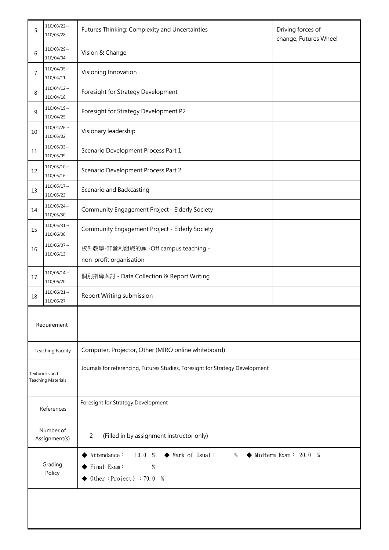| 5                                          | $110/03/22$ ~<br>110/03/28    | Futures Thinking: Complexity and Uncertainties                                                                                                | Driving forces of<br>change, Futures Wheel |  |  |
|--------------------------------------------|-------------------------------|-----------------------------------------------------------------------------------------------------------------------------------------------|--------------------------------------------|--|--|
| 6                                          | $110/03/29$ ~<br>110/04/04    | Vision & Change                                                                                                                               |                                            |  |  |
| 7                                          | $110/04/05 \sim$<br>110/04/11 | Visioning Innovation                                                                                                                          |                                            |  |  |
| 8                                          | $110/04/12 \sim$<br>110/04/18 | Foresight for Strategy Development                                                                                                            |                                            |  |  |
| 9                                          | $110/04/19$ ~<br>110/04/25    | Foresight for Strategy Development P2                                                                                                         |                                            |  |  |
| 10                                         | $110/04/26$ ~<br>110/05/02    | Visionary leadership                                                                                                                          |                                            |  |  |
| 11                                         | $110/05/03$ ~<br>110/05/09    | Scenario Development Process Part 1                                                                                                           |                                            |  |  |
| 12                                         | $110/05/10 \sim$<br>110/05/16 | Scenario Development Process Part 2                                                                                                           |                                            |  |  |
| 13                                         | $110/05/17$ ~<br>110/05/23    | Scenario and Backcasting                                                                                                                      |                                            |  |  |
| 14                                         | $110/05/24$ ~<br>110/05/30    | Community Engagement Project - Elderly Society                                                                                                |                                            |  |  |
| 15                                         | $110/05/31$ ~<br>110/06/06    | Community Engagement Project - Elderly Society                                                                                                |                                            |  |  |
| 16                                         | 110/06/07~<br>110/06/13       | 校外教學-非營利組織的願 - Off campus teaching -<br>non-profit organisation                                                                               |                                            |  |  |
| 17                                         | $110/06/14 \sim$<br>110/06/20 | 個別指導與討 - Data Collection & Report Writing                                                                                                     |                                            |  |  |
| 18                                         | $110/06/21$ ~<br>110/06/27    | Report Writing submission                                                                                                                     |                                            |  |  |
| Requirement                                |                               |                                                                                                                                               |                                            |  |  |
| <b>Teaching Facility</b>                   |                               | Computer, Projector, Other (MIRO online whiteboard)                                                                                           |                                            |  |  |
| Textbooks and<br><b>Teaching Materials</b> |                               | Journals for referencing, Futures Studies, Foresight for Strategy Development                                                                 |                                            |  |  |
| References                                 |                               | Foresight for Strategy Development                                                                                                            |                                            |  |  |
| Number of<br>Assignment(s)                 |                               | $\overline{2}$<br>(Filled in by assignment instructor only)                                                                                   |                                            |  |  |
| Grading<br>Policy                          |                               | Midterm Exam: $20.0 %$<br>Attendance:<br>10.0%<br>Mark of Usual:<br>%<br>◆<br>Final Exam:<br>$\%$<br>Other $\langle Project \rangle : 70.0 %$ |                                            |  |  |
|                                            |                               |                                                                                                                                               |                                            |  |  |